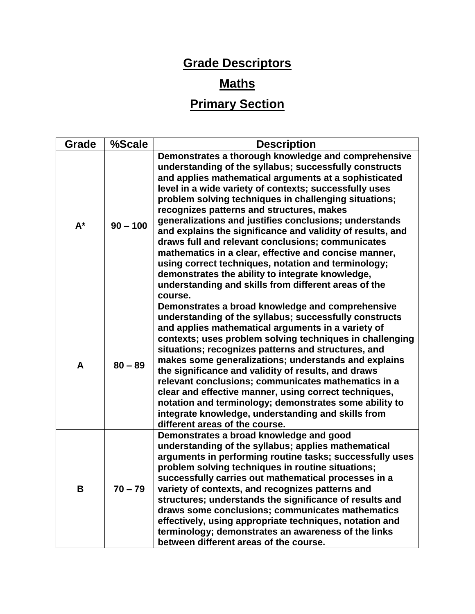## **Grade Descriptors**

## **Maths**

## **Primary Section**

| Grade | %Scale     | <b>Description</b>                                                                                                                                                                                                                                                                                                                                                                                                                                                                                                                                                                                                                                                                                                                                         |
|-------|------------|------------------------------------------------------------------------------------------------------------------------------------------------------------------------------------------------------------------------------------------------------------------------------------------------------------------------------------------------------------------------------------------------------------------------------------------------------------------------------------------------------------------------------------------------------------------------------------------------------------------------------------------------------------------------------------------------------------------------------------------------------------|
| $A^*$ | $90 - 100$ | Demonstrates a thorough knowledge and comprehensive<br>understanding of the syllabus; successfully constructs<br>and applies mathematical arguments at a sophisticated<br>level in a wide variety of contexts; successfully uses<br>problem solving techniques in challenging situations;<br>recognizes patterns and structures, makes<br>generalizations and justifies conclusions; understands<br>and explains the significance and validity of results, and<br>draws full and relevant conclusions; communicates<br>mathematics in a clear, effective and concise manner,<br>using correct techniques, notation and terminology;<br>demonstrates the ability to integrate knowledge,<br>understanding and skills from different areas of the<br>course. |
| A     | $80 - 89$  | Demonstrates a broad knowledge and comprehensive<br>understanding of the syllabus; successfully constructs<br>and applies mathematical arguments in a variety of<br>contexts; uses problem solving techniques in challenging<br>situations; recognizes patterns and structures, and<br>makes some generalizations; understands and explains<br>the significance and validity of results, and draws<br>relevant conclusions; communicates mathematics in a<br>clear and effective manner, using correct techniques,<br>notation and terminology; demonstrates some ability to<br>integrate knowledge, understanding and skills from<br>different areas of the course.                                                                                       |
| В     | 70 – 79    | Demonstrates a broad knowledge and good<br>understanding of the syllabus; applies mathematical<br>arguments in performing routine tasks; successfully uses<br>problem solving techniques in routine situations;<br>successfully carries out mathematical processes in a<br>variety of contexts, and recognizes patterns and<br>structures; understands the significance of results and<br>draws some conclusions; communicates mathematics<br>effectively, using appropriate techniques, notation and<br>terminology; demonstrates an awareness of the links<br>between different areas of the course.                                                                                                                                                     |